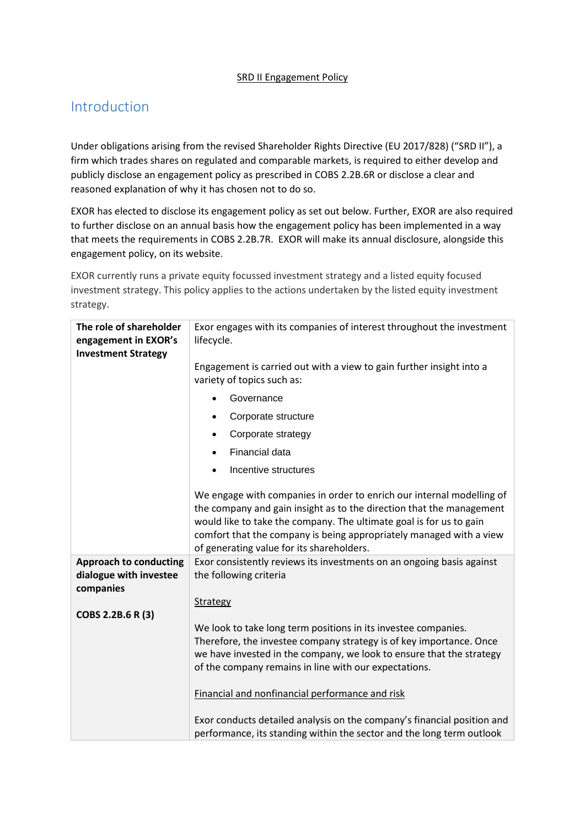## **SRD II Engagement Policy**

## Introduction

Under obligations arising from the revised Shareholder Rights Directive (EU 2017/828) ("SRD II"), a firm which trades shares on regulated and comparable markets, is required to either develop and publicly disclose an engagement policy as prescribed in COBS 2.2B.6R or disclose a clear and reasoned explanation of why it has chosen not to do so.

EXOR has elected to disclose its engagement policy as set out below. Further, EXOR are also required to further disclose on an annual basis how th[e engagement policy](https://www.handbook.fca.org.uk/handbook/glossary/G93520e.html) has been implemented in a way that meets the requirements i[n COBS 2.2B.7R.](https://www.handbook.fca.org.uk/handbook/COBS/2/2B.html#D46479) EXOR will make its annual disclosure, alongside this engagement policy, on its website.

EXOR currently runs a private equity focussed investment strategy and a listed equity focused investment strategy. This policy applies to the actions undertaken by the listed equity investment strategy.

| The role of shareholder<br>engagement in EXOR's                      | Exor engages with its companies of interest throughout the investment<br>lifecycle.                                                                                                                                                                                                                                                      |
|----------------------------------------------------------------------|------------------------------------------------------------------------------------------------------------------------------------------------------------------------------------------------------------------------------------------------------------------------------------------------------------------------------------------|
| <b>Investment Strategy</b>                                           |                                                                                                                                                                                                                                                                                                                                          |
|                                                                      | Engagement is carried out with a view to gain further insight into a<br>variety of topics such as:                                                                                                                                                                                                                                       |
|                                                                      | Governance                                                                                                                                                                                                                                                                                                                               |
|                                                                      | Corporate structure<br>$\bullet$                                                                                                                                                                                                                                                                                                         |
|                                                                      | Corporate strategy<br>٠                                                                                                                                                                                                                                                                                                                  |
|                                                                      | Financial data<br>$\bullet$                                                                                                                                                                                                                                                                                                              |
|                                                                      | Incentive structures<br>$\bullet$                                                                                                                                                                                                                                                                                                        |
|                                                                      | We engage with companies in order to enrich our internal modelling of<br>the company and gain insight as to the direction that the management<br>would like to take the company. The ultimate goal is for us to gain<br>comfort that the company is being appropriately managed with a view<br>of generating value for its shareholders. |
| <b>Approach to conducting</b><br>dialogue with investee<br>companies | Exor consistently reviews its investments on an ongoing basis against<br>the following criteria                                                                                                                                                                                                                                          |
|                                                                      | Strategy                                                                                                                                                                                                                                                                                                                                 |
| COBS 2.2B.6 R (3)                                                    |                                                                                                                                                                                                                                                                                                                                          |
|                                                                      | We look to take long term positions in its investee companies.<br>Therefore, the investee company strategy is of key importance. Once<br>we have invested in the company, we look to ensure that the strategy<br>of the company remains in line with our expectations.                                                                   |
|                                                                      | Financial and nonfinancial performance and risk                                                                                                                                                                                                                                                                                          |
|                                                                      | Exor conducts detailed analysis on the company's financial position and<br>performance, its standing within the sector and the long term outlook                                                                                                                                                                                         |